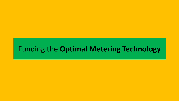# Funding the **Optimal Metering Technology**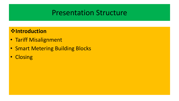#### **Introduction**

- Tariff Misalignment
- Smart Metering Building Blocks
- Closing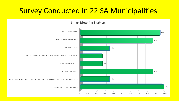## Survey Conducted in 22 SA Municipalities

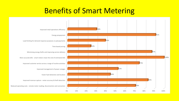#### Benefits of Smart Metering

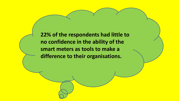**22% of the respondents had little to no confidence in the ability of the smart meters as tools to make a difference to their organisations.**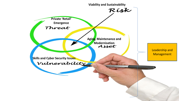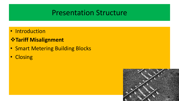• Introduction

#### *\** **Tariff Misalignment**

- Smart Metering Building Blocks
- Closing

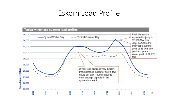## Eskom Load Profile

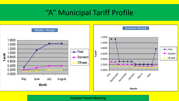## "A" Municipal Tariff Profile



**Solution? Smart Metering**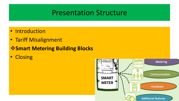- Introduction
- Tariff Misalignment

#### **Smart Metering Building Blocks**

• Closing

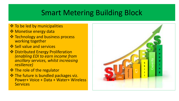# Smart Metering Building Block

#### $\div$  To be led by municipalities

- **❖ Monetise energy data**
- **❖** Technology and business process working together
- **❖ Sell value and services**
- **❖ Distributed Energy Proliferation** *(enabling EDI to earn income from ancillary services, whilst increasing resilience)*
- **❖** The role of the regulator
- **❖ The future is bundled packages viz.** Power+ Voice + Data + Water+ Wireless **Services**

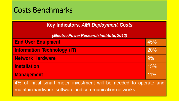# Costs Benchmarks

| <b>Key Indicators: AMI Deployment Costs</b>                                                                                   |     |
|-------------------------------------------------------------------------------------------------------------------------------|-----|
| (Electric Power Research Institute, 2013)                                                                                     |     |
| <b>End User Equipment</b>                                                                                                     | 45% |
| <b>Information Technology (IT)</b>                                                                                            | 20% |
| <b>Network Hardware</b>                                                                                                       | 9%  |
| <b>Installation</b>                                                                                                           | 15% |
| <b>Management</b>                                                                                                             | 11% |
| 4% of initial smart meter investment will be needed to operate and<br>maintain hardware, software and communication networks. |     |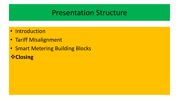- Introduction
- Tariff Misalignment
- Smart Metering Building Blocks **Closing**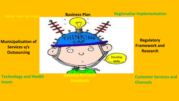**Municipalisation of Services v/s Outsourcing**



#### **Regionalise Implementation**

**Regulatory Framework and Research**

**Technology and Health Issues**

**Develop National Standards**

**Customer Services and Channels**